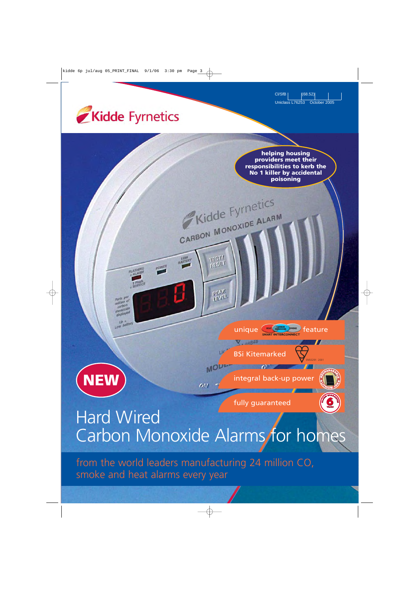Cl/SfB (68.52) Uniclass L76253 October 2005





# Carbon Monoxide Alarms for homes

from the world leaders manufacturing 24 million CO, smoke and heat alarms every year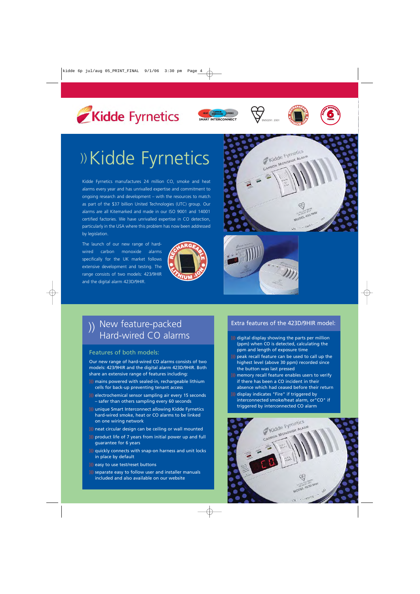









# ))Kidde Fyrnetics

Kidde Fyrnetics manufactures 24 million CO, smoke and heat alarms every year and has unrivalled expertise and commitment to ongoing research and development – with the resources to match as part of the \$37 billion United Technologies (UTC) group. Our alarms are all Kitemarked and made in our ISO 9001 and 14001 certified factories. We have unrivalled expertise in CO detection, particularly in the USA where this problem has now been addressed by legislation.

The launch of our new range of hardwired carbon monoxide alarms specifically for the UK market follows extensive development and testing. The range consists of two models: 423/9HIR and the digital alarm 423D/9HIR.







# )) New feature-packed<br>Hard-wired CO alarms

#### Features of both models:

Our new range of hard-wired CO alarms consists of two models: 423/9HIR and the digital alarm 423D/9HIR. Both share an extensive range of features including:

- ))) mains powered with sealed-in, rechargeable lithium cells for back-up preventing tenant access
- ))) electrochemical sensor sampling air every 15 seconds – safer than others sampling every 60 seconds
- ))) unique Smart Interconnect allowing Kidde Fyrnetics hard-wired smoke, heat or CO alarms to be linked on one wiring network
- ))) neat circular design can be ceiling or wall mounted
- ))) product life of 7 years from initial power up and full guarantee for 6 years
- ))) quickly connects with snap-on harness and unit locks in place by default
- ))) easy to use test/reset buttons
- ))) separate easy to follow user and installer manuals included and also available on our website

#### Extra features of the 423D/9HIR model:

- ))) digital display showing the parts per million (ppm) when CO is detected, calculating the ppm and length of exposure time
- ))) peak recall feature can be used to call up the highest level (above 30 ppm) recorded since the button was last pressed
- ))) memory recall feature enables users to verify if there has been a CO incident in their absence which had ceased before their return
- ))) display indicates "Fire" if triggered by interconnected smoke/heat alarm, or"CO" if triggered by interconnected CO alarm

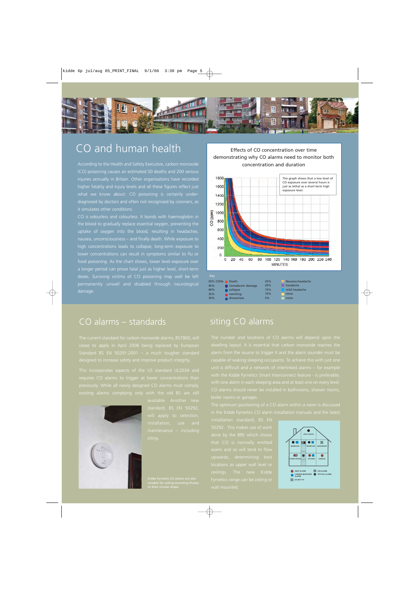

# CO and human health

(CO) poisoning causes an estimated 50 deaths and 200 serious higher fatality and injury levels and all these figures reflect just diagnosed by doctors and often not recognised by coroners, as it simulates other conditions.

CO is odourless and colourless. It bonds with haemoglobin in the blood to gradually replace essential oxygen, preventing the uptake of oxygen into the blood, resulting in headaches, nausea, unconsciousness – and finally death. While exposure to high concentrations leads to collapse, long-term exposure to food poisoning. As the chart shows, lower level exposure over a longer period can prove fatal just as higher level, short-term permanently unwell and disabled through neurological damage.

### CO alarms – standards

Standard BS EN 50291:2001 – a much tougher standard

This incorporates aspects of the US standard UL2034 and



#### Effects of CO concentration over time demonstrating why CO alarms need to monitor both concentration and duration



| .<br>35% | $\sim$<br>vomiting | .<br>10% | none |
|----------|--------------------|----------|------|
| 30%      | drowsiness         | 5%       | none |
|          |                    |          |      |

### siting CO alarms

dwelling layout. It is essential that carbon monoxide reaches the

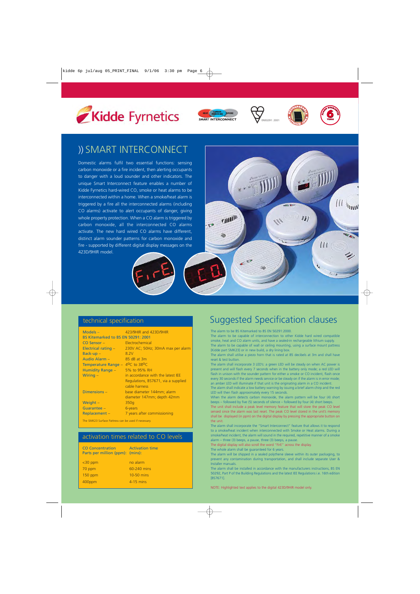







# )) SMART INTERCONNECT

Domestic alarms fulfil two essential functions: sensing carbon monoxide or a fire incident, then alerting occupants to danger with a loud sounder and other indicators. The unique Smart Interconnect feature enables a number of Kidde Fyrnetics hard-wired CO, smoke or heat alarms to be interconnected within a home. When a smoke/heat alarm is triggered by a fire all the interconnected alarms (including CO alarms) activate to alert occupants of danger, giving whole property protection. When a CO alarm is triggered by carbon monoxide, all the interconnected CO alarms activate. The new hard wired CO alarms have different, distinct alarm sounder patterns for carbon monoxide and fire - supported by different digital display messages on the 423D/9HIR model.



| Models $-$<br>BS Kitemarked to BS EN 50291: 2001 | 423/9HIR and 423D/9HIR                                                                    |
|--------------------------------------------------|-------------------------------------------------------------------------------------------|
| CO Sensor-                                       | Electrochemical                                                                           |
| Electrical rating -                              | 230V AC; 50Hz; 30mA max per alarm                                                         |
| $Back-up -$                                      | 8.2V                                                                                      |
| Audio Alarm -                                    | 85 dB at 3m                                                                               |
| Temperature Range -                              | $4^{\circ}$ C to 38 <sup>o</sup> C                                                        |
| Humidity Range -                                 | 5% to 95% RH                                                                              |
| Wiring $-$                                       | in accordance with the latest IEE<br>Regulations, BS7671, via a supplied<br>cable harness |
| Dimensions-                                      | base diameter 144mm; alarm                                                                |
|                                                  | diameter 147mm; depth 42mm                                                                |
| Weight -                                         | 350g                                                                                      |
| Guarantee -                                      | 6-years                                                                                   |
| Replacement-                                     | 7 years after commissioning                                                               |

The SMK23 Surface Pattress can be used if necessary.

#### activation times related to CO levels

| <b>CO</b> Concentration<br>Parts per million (ppm): (mins): | <b>Activation time</b> |
|-------------------------------------------------------------|------------------------|
| $<$ 30 ppm                                                  | no alarm               |
| 70 ppm                                                      | 60-240 mins            |
| $150$ ppm                                                   | 10-50 mins             |
| 400ppm                                                      | 4-15 mins              |
|                                                             |                        |



# Suggested Specification clauses

The alarm to be BS Kitemarked to BS EN 50291:2000.

The alarm to be capable of interconnection to other Kidde hard wired compatible smoke, heat and CO alarm units, and have a sealed-in rechargeable lithium supply. The alarm to be capable of wall or ceiling mounting, using a surface mount pattress {Kidde part SMK23} or in new build, a dry lining box.

The alarm shall utilise a piezo horn that is rated at 85 decibels at 3m and shall have reset & test button.

The alarm shall incorporate 3 LED's: a green LED will be steady on when AC power is present and will flash every 7 seconds when in the battery only mode; a red LED will flash in unison with the sounder pattern for either a smoke or CO incident, flash once every 30 seconds if the alarm needs service or be steady on if the alarm is in error mode; an amber LED will illuminate if that unit is the originating alarm in a CO incident.

The alarm shall indicate a low battery warning by issuing a brief alarm chirp and the red LED will then flash approximately every 15 seconds.

When the alarm detects carbon monoxide, the alarm pattern will be four (4) short beeps – followed by five (5) seconds of silence – followed by four (4) short beeps.

The unit shall include a peak level memory feature that will store the peak CO level sensed since the alarm was last reset. The peak CO level stored in the unit's memory shall be displayed (in ppm) on the digital display by pressing the appropriate button on the unit.

The alarm shall incorporate the "Smart Interconnect" feature that allows it to respond to a smoke/heat incident when interconnected with Smoke or Heat alarms. During a smoke/heat incident, the alarm will sound in the required, repetitive manner of a smoke alarm – three (3) beeps, a pause, three (3) beeps, a pause.

The digital display will also scroll the word "FirE" across the display.

The whole alarm shall be guaranteed for 6 years.

The alarm will be shipped in a sealed polythene sleeve within its outer packaging, to prevent any contamination during transportation, and shall include separate User & Installer manuals.

The alarm shall be installed in accordance with the manufacturers instructions, BS EN 50292, Part P of the Building Regulations and the latest IEE Regulations i.e. 16th edition [BS7671].

NOTE: Highlighted text applies to the digital 423D/9HIR model only.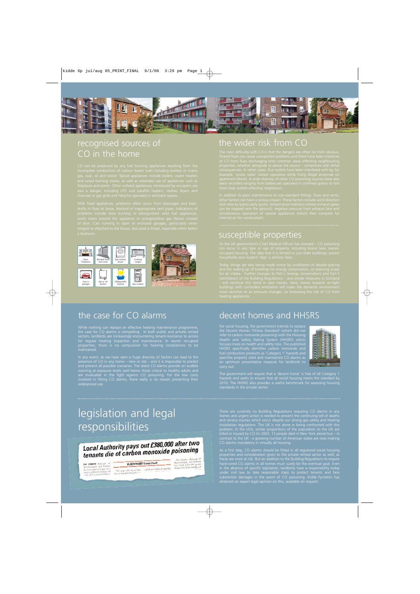

# recognised sources of



# the wider risk from CO

CO in the home The main difficulty with CO is that the dangers are often far from obvious.<br>Shared flues can cause unexpected problems and there have been instances

susceptible properties

# the case for CO alarms

While nothing can replace an effective heating maintenance programme, the case for CO alarms is compelling. In both public and private rented sectors, landlords are increasingly encountering tenant-resistance to access for regular heating inspection and maintenance. In owner occupied properties, there is no compulsion for heating installations to be

In any event, as we have seen a huge diversity of factors can lead to the presence of CO in any home – new or old – and it is impossible to predict and prevent all possible scenarios. The latest CO alarms provide an audible warning at exposure levels well below those critical to healthy adults and are invaluable in the fight against CO poisoning. For the low costs involved in fitting CO alarms, there really is no reason preventing their

# decent homes and HHSRS

For social housing, the government intends to replace the Decent Homes 'Fitness Standard' (which did not refer to carbon monoxide poisoning) with the Housing Health and Safety Rating System (HHSRS) which focuses more on health and safety risks. The published HHSRS specifically identifies carbon monoxide and fuel combustion products as 'Category 1' hazards and specifies properly sited and maintained CO alarms as an optimum preventative measure for landlords to



The government will require that a 'decent home' is free of all Category 1 hazards and seeks to ensure that all social housing meets the standard by 2010. The HHSRS also provides a useful benchmark for assessing housing

# legislation and legal responsibilities

### Local Authority pays out £380,000 after two **Local Authority pays out L500,000 arts:**<br>tenants die of carbon monoxide poisoning

**THE LONDON** Borough of<br>Hammersmith and Fulham<br>has been ordered to pay out a<br>total of *L*380,000 in fines and<br>costs after a court heard how

**BLACKFRIARS Crown Court** The court also heard that scaled-unit boilers designed to due to a breakdown in the one statements

The London Borough of<br>Hammersmith and Fulham<br>was fined  $\mathcal{L}^{200,000}$  under<br>Section 3(1) of the Health and

There are currently no Building Regulations requiring CO alarms in any homes and urgent action is needed to prevent the continuing toll of deaths and serious injuries which occur despite our strong gas safety and heating installation regulations. The UK is not alone in being confronted with this problem. In the USA, similar proportions of the population to the UK are killed or injured by CO (in 2003, 13 people died in New York alone) but – in contrast to the UK - a growing number of American states are now making CO alarms mandatory in virtually all housing.

As a first step, CO alarms should be fitted in all registered social housing properties and consideration given to the private rented sector as well, as these are most at risk. But an addition to the Building Regulations to require hard-wired CO alarms in all homes must surely be the eventual goal. Even in the absence of specific legislation, landlords have a responsibility today substantial damages in the event of CO poisoning. Kidde Fyrnetics has obtained an expert legal opinion on this, available on request.